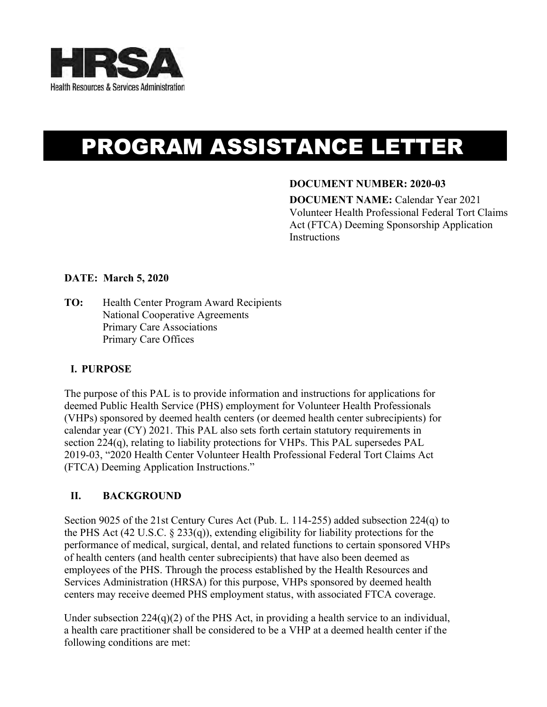

# PROGRAM ASSISTANCE LETTER

## **DOCUMENT NUMBER: 2020-03**

**DOCUMENT NAME:** Calendar Year 2021 Volunteer Health Professional Federal Tort Claims Act (FTCA) Deeming Sponsorship Application **Instructions** 

## **DATE: March 5, 2020**

**TO:** Health Center Program Award Recipients National Cooperative Agreements Primary Care Associations Primary Care Offices

## **I. PURPOSE**

The purpose of this PAL is to provide information and instructions for applications for deemed Public Health Service (PHS) employment for Volunteer Health Professionals (VHPs) sponsored by deemed health centers (or deemed health center subrecipients) for calendar year (CY) 2021. This PAL also sets forth certain statutory requirements in section 224(q), relating to liability protections for VHPs. This PAL supersedes PAL 2019-03, "2020 Health Center Volunteer Health Professional Federal Tort Claims Act (FTCA) Deeming Application Instructions."

## **II. BACKGROUND**

Section 9025 of the 21st Century Cures Act (Pub. L. 114-255) added subsection 224(q) to the PHS Act (42 U.S.C. § 233(q)), extending eligibility for liability protections for the performance of medical, surgical, dental, and related functions to certain sponsored VHPs of health centers (and health center subrecipients) that have also been deemed as employees of the PHS. Through the process established by the Health Resources and Services Administration (HRSA) for this purpose, VHPs sponsored by deemed health centers may receive deemed PHS employment status, with associated FTCA coverage.

Under subsection 224(q)(2) of the PHS Act, in providing a health service to an individual, a health care practitioner shall be considered to be a VHP at a deemed health center if the following conditions are met: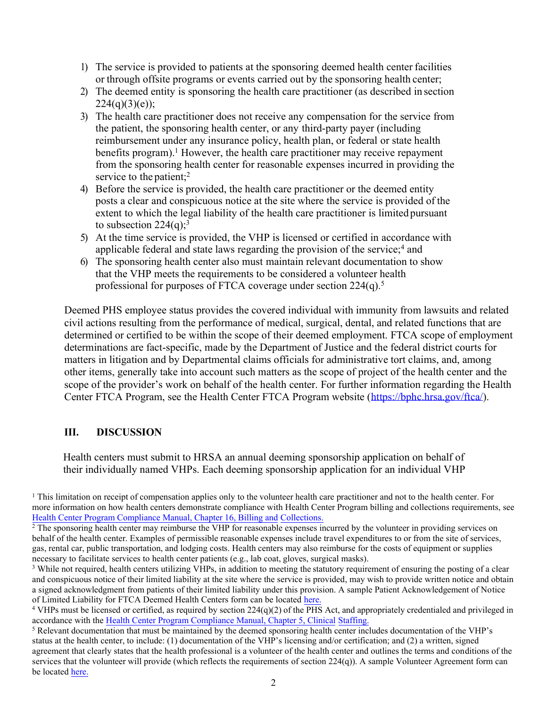- 1) The service is provided to patients at the sponsoring deemed health center facilities or through offsite programs or events carried out by the sponsoring health center;
- 2) The deemed entity is sponsoring the health care practitioner (as described in section  $224(q)(3)(e)$ ;
- 3) The health care practitioner does not receive any compensation for the service from the patient, the sponsoring health center, or any third-party payer (including reimbursement under any insurance policy, health plan, or federal or state health benefits program).<sup>1</sup> However, the health care practitioner may receive repayment from the sponsoring health center for reasonable expenses incurred in providing the service to the patient;<sup>2</sup>
- 4) Before the service is provided, the health care practitioner or the deemed entity posts a clear and conspicuous notice at the site where the service is provided of the extent to which the legal liability of the health care practitioner is limited pursuant to subsection  $224(q)$ ;<sup>3</sup>
- 5) At the time service is provided, the VHP is licensed or certified in accordance with applicable federal and state laws regarding the provision of the service; $4$  and
- 6) The sponsoring health center also must maintain relevant documentation to show that the VHP meets the requirements to be considered a volunteer health professional for purposes of FTCA coverage under section 224(q).<sup>5</sup>

Deemed PHS employee status provides the covered individual with immunity from lawsuits and related civil actions resulting from the performance of medical, surgical, dental, and related functions that are determined or certified to be within the scope of their deemed employment. FTCA scope of employment determinations are fact-specific, made by the Department of Justice and the federal district courts for matters in litigation and by Departmental claims officials for administrative tort claims, and, among other items, generally take into account such matters as the scope of project of the health center and the scope of the provider's work on behalf of the health center. For further information regarding the Health Center FTCA Program, see the Health Center FTCA Program website [\(https://bphc.hrsa.gov/ftca/\)](https://bphc.hrsa.gov/ftca/).

## **III. DISCUSSION**

Health centers must submit to HRSA an annual deeming sponsorship application on behalf of their individually named VHPs. Each deeming sponsorship application for an individual VHP

<sup>1</sup> This limitation on receipt of compensation applies only to the volunteer health care practitioner and not to the health center. For more information on how health centers demonstrate compliance with Health Center Program billing and collections requirements, see [Health Center Program Compliance Manual, Chapter 16, Billing and](https://bphc.hrsa.gov/programrequirements/compliancemanual/chapter-16.html#titletop) Collections.

<sup>3</sup> While not required, health centers utilizing VHPs, in addition to meeting the statutory requirement of ensuring the posting of a clear and conspicuous notice of their limited liability at the site where the service is provided, may wish to provide written notice and obtain a signed acknowledgment from patients of their limited liability under this provision. A sample Patient Acknowledgement of Notice of Limited Liability for FTCA Deemed Health Centers form can be located [here.](https://bphc.hrsa.gov/sites/default/files/bphc/ftca/pdf/vhp-sample-limited-liability-notice.pdf)

<sup>&</sup>lt;sup>2</sup> The sponsoring health center may reimburse the VHP for reasonable expenses incurred by the volunteer in providing services on behalf of the health center. Examples of permissible reasonable expenses include travel expenditures to or from the site of services, gas, rental car, public transportation, and lodging costs. Health centers may also reimburse for the costs of equipment or supplies necessary to facilitate services to health center patients (e.g., lab coat, gloves, surgical masks).

<sup>&</sup>lt;sup>4</sup> VHPs must be licensed or certified, as required by section 224(q)(2) of the PHS Act, and appropriately credentialed and privileged in accordance with the [Health Center Program Compliance Manual, Chapter 5, Clinical](https://bphc.hrsa.gov/programrequirements/compliancemanual/chapter-5.html#titletop) Staffing.

<sup>&</sup>lt;sup>5</sup> Relevant documentation that must be maintained by the deemed sponsoring health center includes documentation of the VHP's status at the health center, to include: (1) documentation of the VHP's licensing and/or certification; and (2) a written, signed agreement that clearly states that the health professional is a volunteer of the health center and outlines the terms and conditions of the services that the volunteer will provide (which reflects the requirements of section 224(q)). A sample Volunteer Agreement form can be located [here.](https://bphc.hrsa.gov/sites/default/files/bphc/ftca/pdf/vhp-sample-volunteer-agreement.pdf)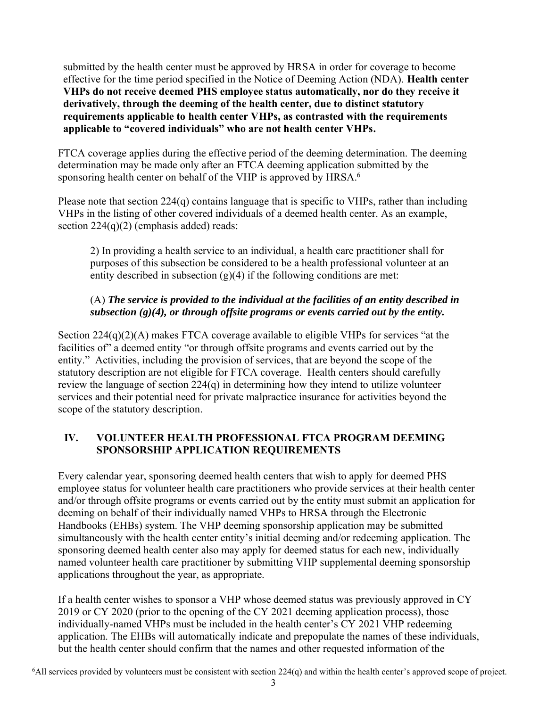submitted by the health center must be approved by HRSA in order for coverage to become effective for the time period specified in the Notice of Deeming Action (NDA). **Health center VHPs do not receive deemed PHS employee status automatically, nor do they receive it derivatively, through the deeming of the health center, due to distinct statutory requirements applicable to health center VHPs, as contrasted with the requirements applicable to "covered individuals" who are not health center VHPs.** 

FTCA coverage applies during the effective period of the deeming determination. The deeming determination may be made only after an FTCA deeming application submitted by the sponsoring health center on behalf of the VHP is approved by HRSA.<sup>6</sup>

Please note that section 224(q) contains language that is specific to VHPs, rather than including VHPs in the listing of other covered individuals of a deemed health center. As an example, section  $224(q)(2)$  (emphasis added) reads:

2) In providing a health service to an individual, a health care practitioner shall for purposes of this subsection be considered to be a health professional volunteer at an entity described in subsection  $(g)(4)$  if the following conditions are met:

## (A) *The service is provided to the individual at the facilities of an entity described in subsection (g)(4), or through offsite programs or events carried out by the entity.*

Section 224(q)(2)(A) makes FTCA coverage available to eligible VHPs for services "at the facilities of" a deemed entity "or through offsite programs and events carried out by the entity." Activities, including the provision of services, that are beyond the scope of the statutory description are not eligible for FTCA coverage. Health centers should carefully review the language of section 224(q) in determining how they intend to utilize volunteer services and their potential need for private malpractice insurance for activities beyond the scope of the statutory description.

# **IV. VOLUNTEER HEALTH PROFESSIONAL FTCA PROGRAM DEEMING SPONSORSHIP APPLICATION REQUIREMENTS**

Every calendar year, sponsoring deemed health centers that wish to apply for deemed PHS employee status for volunteer health care practitioners who provide services at their health center and/or through offsite programs or events carried out by the entity must submit an application for deeming on behalf of their individually named VHPs to HRSA through the Electronic Handbooks (EHBs) system. The VHP deeming sponsorship application may be submitted simultaneously with the health center entity's initial deeming and/or redeeming application. The sponsoring deemed health center also may apply for deemed status for each new, individually named volunteer health care practitioner by submitting VHP supplemental deeming sponsorship applications throughout the year, as appropriate.

If a health center wishes to sponsor a VHP whose deemed status was previously approved in CY 2019 or CY 2020 (prior to the opening of the CY 2021 deeming application process), those individually-named VHPs must be included in the health center's CY 2021 VHP redeeming application. The EHBs will automatically indicate and prepopulate the names of these individuals, but the health center should confirm that the names and other requested information of the

6 All services provided by volunteers must be consistent with section 224(q) and within the health center's approved scope of project.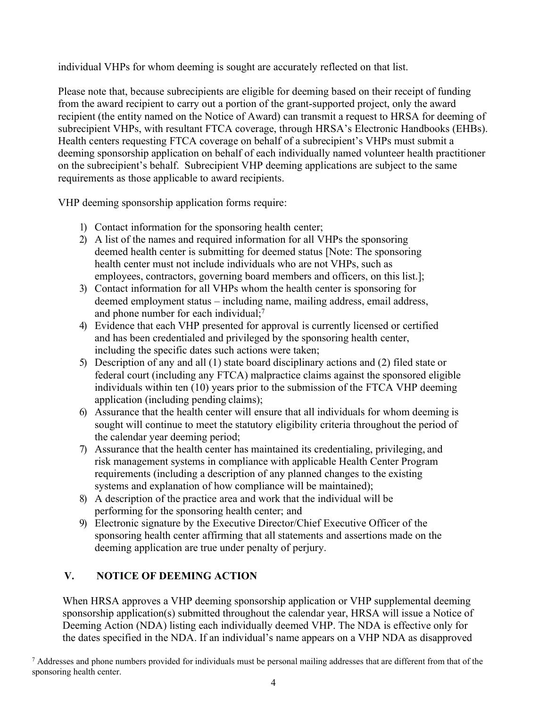individual VHPs for whom deeming is sought are accurately reflected on that list.

Please note that, because subrecipients are eligible for deeming based on their receipt of funding from the award recipient to carry out a portion of the grant-supported project, only the award recipient (the entity named on the Notice of Award) can transmit a request to HRSA for deeming of subrecipient VHPs, with resultant FTCA coverage, through HRSA's Electronic Handbooks (EHBs). Health centers requesting FTCA coverage on behalf of a subrecipient's VHPs must submit a deeming sponsorship application on behalf of each individually named volunteer health practitioner on the subrecipient's behalf. Subrecipient VHP deeming applications are subject to the same requirements as those applicable to award recipients.

VHP deeming sponsorship application forms require:

- 1) Contact information for the sponsoring health center;
- 2) A list of the names and required information for all VHPs the sponsoring deemed health center is submitting for deemed status [Note: The sponsoring health center must not include individuals who are not VHPs, such as employees, contractors, governing board members and officers, on this list.];
- 3) Contact information for all VHPs whom the health center is sponsoring for deemed employment status – including name, mailing address, email address, and phone number for each individual;<sup>7</sup>
- 4) Evidence that each VHP presented for approval is currently licensed or certified and has been credentialed and privileged by the sponsoring health center, including the specific dates such actions were taken;
- 5) Description of any and all (1) state board disciplinary actions and (2) filed state or federal court (including any FTCA) malpractice claims against the sponsored eligible individuals within ten (10) years prior to the submission of the FTCA VHP deeming application (including pending claims);
- 6) Assurance that the health center will ensure that all individuals for whom deeming is sought will continue to meet the statutory eligibility criteria throughout the period of the calendar year deeming period;
- 7) Assurance that the health center has maintained its credentialing, privileging, and risk management systems in compliance with applicable Health Center Program requirements (including a description of any planned changes to the existing systems and explanation of how compliance will be maintained);
- 8) A description of the practice area and work that the individual will be performing for the sponsoring health center; and
- 9) Electronic signature by the Executive Director/Chief Executive Officer of the sponsoring health center affirming that all statements and assertions made on the deeming application are true under penalty of perjury.

# **V. NOTICE OF DEEMING ACTION**

When HRSA approves a VHP deeming sponsorship application or VHP supplemental deeming sponsorship application(s) submitted throughout the calendar year, HRSA will issue a Notice of Deeming Action (NDA) listing each individually deemed VHP. The NDA is effective only for the dates specified in the NDA. If an individual's name appears on a VHP NDA as disapproved

<sup>7</sup> Addresses and phone numbers provided for individuals must be personal mailing addresses that are different from that of the sponsoring health center.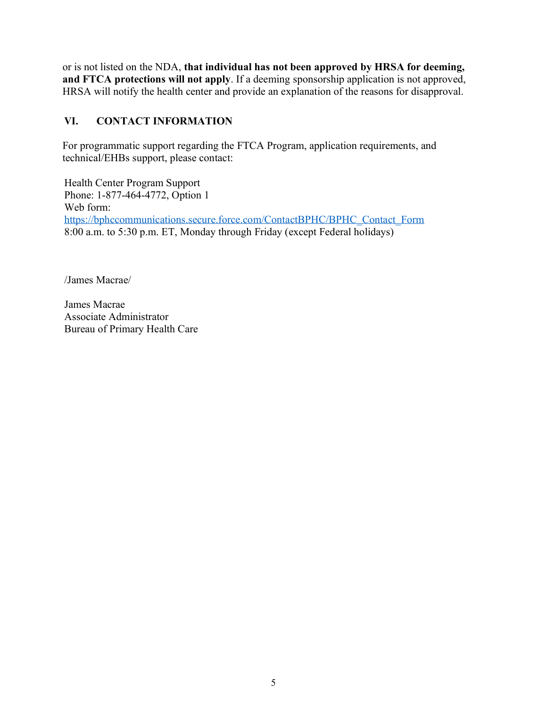or is not listed on the NDA, **that individual has not been approved by HRSA for deeming, and FTCA protections will not apply**. If a deeming sponsorship application is not approved, HRSA will notify the health center and provide an explanation of the reasons for disapproval.

# **VI. CONTACT INFORMATION**

For programmatic support regarding the FTCA Program, application requirements, and technical/EHBs support, please contact:

Health Center Program Support Phone: 1-877-464-4772, Option 1 Web form: [https://bphccommunications.secure.force.com/ContactBPHC/BPHC\\_Contact\\_Form](https://bphccommunications.secure.force.com/ContactBPHC/BPHC_Contact_Form)  8:00 a.m. to 5:30 p.m. ET, Monday through Friday (except Federal holidays)

/James Macrae/

James Macrae Associate Administrator Bureau of Primary Health Care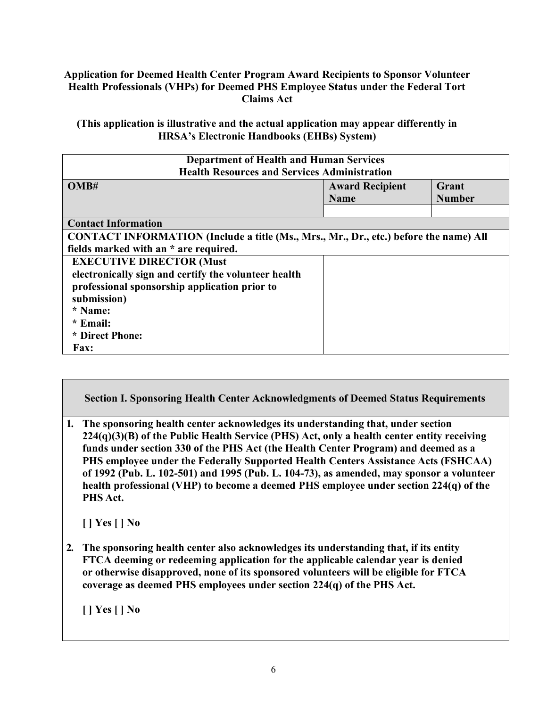## **Application for Deemed Health Center Program Award Recipients to Sponsor Volunteer Health Professionals (VHPs) for Deemed PHS Employee Status under the Federal Tort Claims Act**

**(This application is illustrative and the actual application may appear differently in HRSA's Electronic Handbooks (EHBs) System)** 

| <b>Department of Health and Human Services</b><br><b>Health Resources and Services Administration</b>                          |                                       |                        |
|--------------------------------------------------------------------------------------------------------------------------------|---------------------------------------|------------------------|
| OMB#                                                                                                                           | <b>Award Recipient</b><br><b>Name</b> | Grant<br><b>Number</b> |
| <b>Contact Information</b>                                                                                                     |                                       |                        |
| CONTACT INFORMATION (Include a title (Ms., Mrs., Mr., Dr., etc.) before the name) All<br>fields marked with an * are required. |                                       |                        |
| <b>EXECUTIVE DIRECTOR (Must</b>                                                                                                |                                       |                        |
| electronically sign and certify the volunteer health                                                                           |                                       |                        |
| professional sponsorship application prior to                                                                                  |                                       |                        |
| submission)                                                                                                                    |                                       |                        |
| * Name:<br>* Email:                                                                                                            |                                       |                        |
| * Direct Phone:                                                                                                                |                                       |                        |
| <b>Fax:</b>                                                                                                                    |                                       |                        |

**Section I. Sponsoring Health Center Acknowledgments of Deemed Status Requirements** 

**1. The sponsoring health center acknowledges its understanding that, under section 224(q)(3)(B) of the Public Health Service (PHS) Act, only a health center entity receiving funds under section 330 of the PHS Act (the Health Center Program) and deemed as a PHS employee under the Federally Supported Health Centers Assistance Acts (FSHCAA) of 1992 (Pub. L. 102-501) and 1995 (Pub. L. 104-73), as amended, may sponsor a volunteer health professional (VHP) to become a deemed PHS employee under section 224(q) of the PHS Act.** 

**[ ] Yes[ ] No** 

**2. The sponsoring health center also acknowledges its understanding that, if its entity FTCA deeming or redeeming application for the applicable calendar year is denied or otherwise disapproved, none of its sponsored volunteers will be eligible for FTCA coverage as deemed PHS employees under section 224(q) of the PHS Act.** 

**[ ] Yes[ ] No**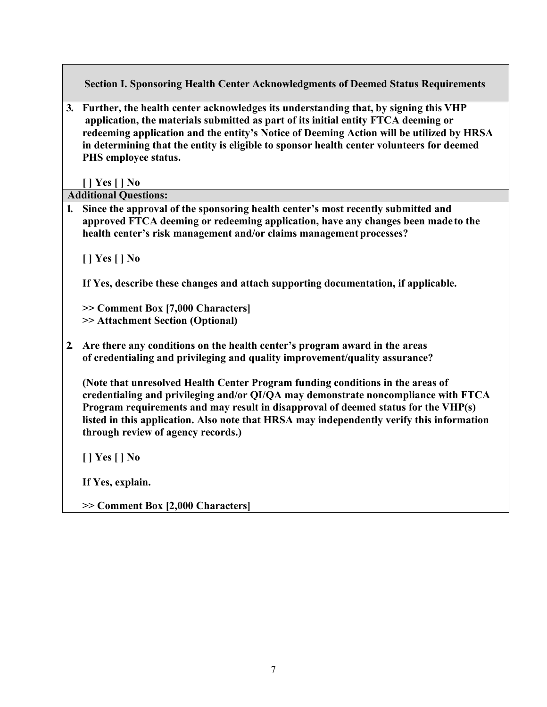**Section I. Sponsoring Health Center Acknowledgments of Deemed Status Requirements** 

**3. Further, the health center acknowledges its understanding that, by signing this VHP application, the materials submitted as part of its initial entity FTCA deeming or redeeming application and the entity's Notice of Deeming Action will be utilized by HRSA in determining that the entity is eligible to sponsor health center volunteers for deemed PHS employee status.** 

**[ ] Yes[ ] No** 

**Additional Questions:** 

**1. Since the approval of the sponsoring health center's most recently submitted and approved FTCA deeming or redeeming application, have any changes been made to the health center's risk management and/or claims management processes?** 

**[ ] Yes[ ] No** 

**If Yes, describe these changes and attach supporting documentation, if applicable.** 

**>> Comment Box [7,000 Characters] >> Attachment Section (Optional)** 

**2. Are there any conditions on the health center's program award in the areas of credentialing and privileging and quality improvement/quality assurance?** 

**(Note that unresolved Health Center Program funding conditions in the areas of credentialing and privileging and/or QI/QA may demonstrate noncompliance with FTCA Program requirements and may result in disapproval of deemed status for the VHP(s) listed in this application. Also note that HRSA may independently verify this information through review of agency records.)** 

**[ ] Yes[ ] No** 

**If Yes, explain.** 

**>> Comment Box [2,000 Characters]**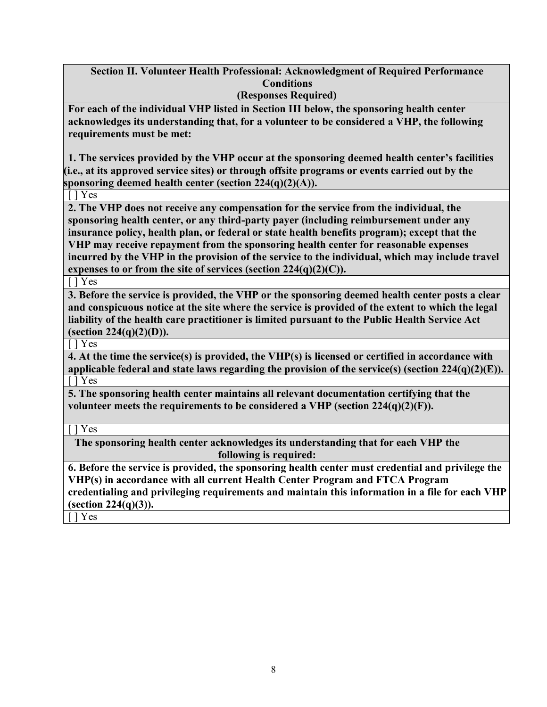**Section II. Volunteer Health Professional: Acknowledgment of Required Performance Conditions** 

**(Responses Required)** 

**For each of the individual VHP listed in Section III below, the sponsoring health center acknowledges its understanding that, for a volunteer to be considered a VHP, the following requirements must be met:** 

**1. The services provided by the VHP occur at the sponsoring deemed health center's facilities (i.e., at its approved service sites) or through offsite programs or events carried out by the sponsoring deemed health center (section 224(q)(2)(A)).** 

[ ] Yes

**2. The VHP does not receive any compensation for the service from the individual, the sponsoring health center, or any third-party payer (including reimbursement under any insurance policy, health plan, or federal or state health benefits program); except that the VHP may receive repayment from the sponsoring health center for reasonable expenses incurred by the VHP in the provision of the service to the individual, which may include travel expenses to or from the site of services (section 224(q)(2)(C)).** 

[ ] Yes

**3. Before the service is provided, the VHP or the sponsoring deemed health center posts a clear and conspicuous notice at the site where the service is provided of the extent to which the legal liability of the health care practitioner is limited pursuant to the Public Health Service Act (section 224(q)(2)(D)).** 

[ ] Yes

**4. At the time the service(s) is provided, the VHP(s) is licensed or certified in accordance with applicable federal and state laws regarding the provision of the service(s) (section 224(q)(2)(E)).**  [ ] Yes

**5. The sponsoring health center maintains all relevant documentation certifying that the**  volunteer meets the requirements to be considered a VHP (section  $224(q)(2)(F)$ ).

[ ] Yes

**The sponsoring health center acknowledges its understanding that for each VHP the following is required:** 

**6. Before the service is provided, the sponsoring health center must credential and privilege the VHP(s) in accordance with all current Health Center Program and FTCA Program credentialing and privileging requirements and maintain this information in a file for each VHP (section 224(q)(3)).** 

[ ] Yes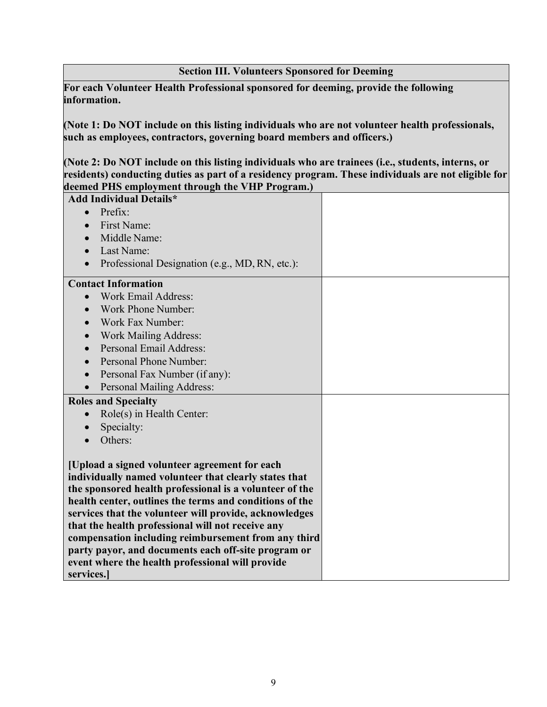## **Section III. Volunteers Sponsored for Deeming**

**For each Volunteer Health Professional sponsored for deeming, provide the following information.** 

**(Note 1: Do NOT include on this listing individuals who are not volunteer health professionals, such as employees, contractors, governing board members and officers.)** 

**(Note 2: Do NOT include on this listing individuals who are trainees (i.e., students, interns, or residents) conducting duties as part of a residency program. These individuals are not eligible for deemed PHS employment through the VHP Program.)** 

| <b>Add Individual Details*</b>                              |  |
|-------------------------------------------------------------|--|
| Prefix:                                                     |  |
| First Name:<br>$\bullet$                                    |  |
| Middle Name:                                                |  |
| Last Name:<br>$\bullet$                                     |  |
| Professional Designation (e.g., MD, RN, etc.):<br>$\bullet$ |  |
| <b>Contact Information</b>                                  |  |
| Work Email Address:                                         |  |
| Work Phone Number:                                          |  |
| Work Fax Number:                                            |  |
| <b>Work Mailing Address:</b>                                |  |
| Personal Email Address:                                     |  |
| Personal Phone Number:                                      |  |
| Personal Fax Number (if any):                               |  |
| Personal Mailing Address:<br>$\bullet$                      |  |
| <b>Roles and Specialty</b>                                  |  |
| Role(s) in Health Center:                                   |  |
| Specialty:                                                  |  |
| Others:                                                     |  |
| [Upload a signed volunteer agreement for each               |  |
| individually named volunteer that clearly states that       |  |
| the sponsored health professional is a volunteer of the     |  |
| health center, outlines the terms and conditions of the     |  |
| services that the volunteer will provide, acknowledges      |  |
| that the health professional will not receive any           |  |
| compensation including reimbursement from any third         |  |
| party payor, and documents each off-site program or         |  |
| event where the health professional will provide            |  |
| services.                                                   |  |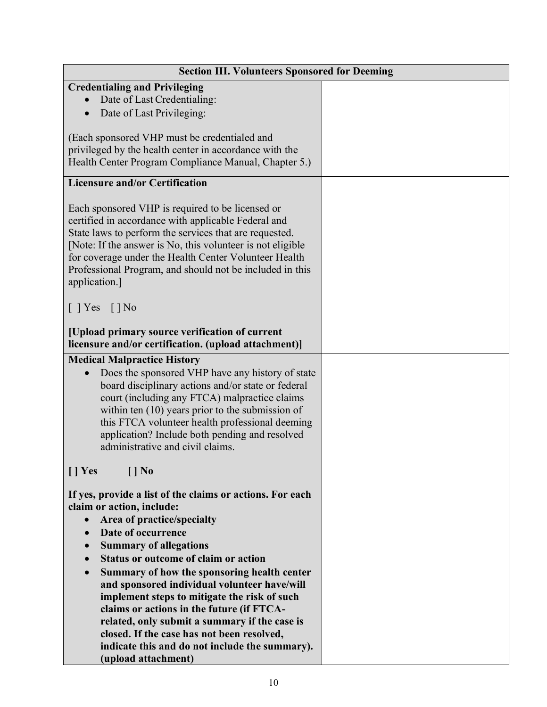| <b>Section III. Volunteers Sponsored for Deeming</b>          |  |  |
|---------------------------------------------------------------|--|--|
| <b>Credentialing and Privileging</b>                          |  |  |
| Date of Last Credentialing:                                   |  |  |
| Date of Last Privileging:                                     |  |  |
|                                                               |  |  |
| (Each sponsored VHP must be credentialed and                  |  |  |
| privileged by the health center in accordance with the        |  |  |
| Health Center Program Compliance Manual, Chapter 5.)          |  |  |
|                                                               |  |  |
| <b>Licensure and/or Certification</b>                         |  |  |
|                                                               |  |  |
| Each sponsored VHP is required to be licensed or              |  |  |
| certified in accordance with applicable Federal and           |  |  |
| State laws to perform the services that are requested.        |  |  |
| [Note: If the answer is No, this volunteer is not eligible    |  |  |
| for coverage under the Health Center Volunteer Health         |  |  |
| Professional Program, and should not be included in this      |  |  |
|                                                               |  |  |
| application.]                                                 |  |  |
|                                                               |  |  |
| $[$ ] Yes $[$ ] No                                            |  |  |
|                                                               |  |  |
| [Upload primary source verification of current                |  |  |
| licensure and/or certification. (upload attachment)]          |  |  |
| <b>Medical Malpractice History</b>                            |  |  |
| Does the sponsored VHP have any history of state<br>$\bullet$ |  |  |
| board disciplinary actions and/or state or federal            |  |  |
| court (including any FTCA) malpractice claims                 |  |  |
| within ten $(10)$ years prior to the submission of            |  |  |
| this FTCA volunteer health professional deeming               |  |  |
| application? Include both pending and resolved                |  |  |
| administrative and civil claims.                              |  |  |
|                                                               |  |  |
| $\prod$ Yes<br>$[$   No                                       |  |  |
|                                                               |  |  |
| If yes, provide a list of the claims or actions. For each     |  |  |
| claim or action, include:                                     |  |  |
| Area of practice/specialty<br>$\bullet$                       |  |  |
| Date of occurrence                                            |  |  |
| $\bullet$                                                     |  |  |
| <b>Summary of allegations</b>                                 |  |  |
| <b>Status or outcome of claim or action</b>                   |  |  |
| Summary of how the sponsoring health center                   |  |  |
| and sponsored individual volunteer have/will                  |  |  |
| implement steps to mitigate the risk of such                  |  |  |
| claims or actions in the future (if FTCA-                     |  |  |
| related, only submit a summary if the case is                 |  |  |
| closed. If the case has not been resolved,                    |  |  |
| indicate this and do not include the summary).                |  |  |
| (upload attachment)                                           |  |  |